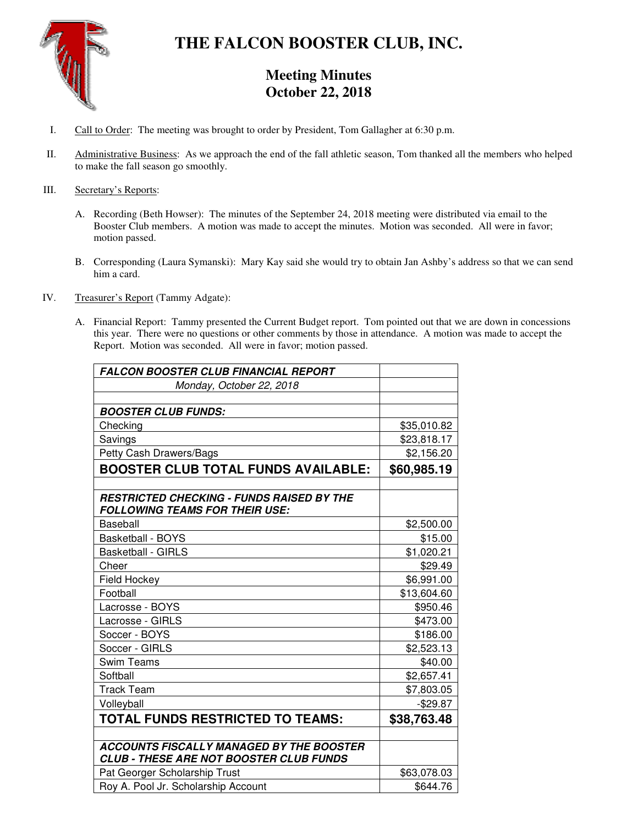

# **THE FALCON BOOSTER CLUB, INC.**

# **Meeting Minutes October 22, 2018**

- I. Call to Order: The meeting was brought to order by President, Tom Gallagher at 6:30 p.m.
- II. Administrative Business: As we approach the end of the fall athletic season, Tom thanked all the members who helped to make the fall season go smoothly.

#### III. Secretary's Reports:

- A. Recording (Beth Howser): The minutes of the September 24, 2018 meeting were distributed via email to the Booster Club members. A motion was made to accept the minutes. Motion was seconded. All were in favor; motion passed.
- B. Corresponding (Laura Symanski): Mary Kay said she would try to obtain Jan Ashby's address so that we can send him a card.
- IV. Treasurer's Report (Tammy Adgate):
	- A. Financial Report: Tammy presented the Current Budget report. Tom pointed out that we are down in concessions this year. There were no questions or other comments by those in attendance. A motion was made to accept the Report. Motion was seconded. All were in favor; motion passed.

| <b>FALCON BOOSTER CLUB FINANCIAL REPORT</b>                                                       |             |
|---------------------------------------------------------------------------------------------------|-------------|
| Monday, October 22, 2018                                                                          |             |
|                                                                                                   |             |
| <b>BOOSTER CLUB FUNDS:</b>                                                                        |             |
| Checking                                                                                          | \$35,010.82 |
| Savings                                                                                           | \$23,818.17 |
| Petty Cash Drawers/Bags                                                                           | \$2,156.20  |
| <b>BOOSTER CLUB TOTAL FUNDS AVAILABLE:</b>                                                        | \$60,985.19 |
|                                                                                                   |             |
| <b>RESTRICTED CHECKING - FUNDS RAISED BY THE</b><br><b>FOLLOWING TEAMS FOR THEIR USE:</b>         |             |
| <b>Baseball</b>                                                                                   | \$2,500.00  |
| <b>Basketball - BOYS</b>                                                                          | \$15.00     |
| <b>Basketball - GIRLS</b>                                                                         | \$1,020.21  |
| Cheer                                                                                             | \$29.49     |
| Field Hockey                                                                                      | \$6,991.00  |
| Football                                                                                          | \$13,604.60 |
| Lacrosse - BOYS                                                                                   | \$950.46    |
| Lacrosse - GIRLS                                                                                  | \$473.00    |
| Soccer - BOYS                                                                                     | \$186.00    |
| Soccer - GIRLS                                                                                    | \$2,523.13  |
| <b>Swim Teams</b>                                                                                 | \$40.00     |
| Softball                                                                                          | \$2,657.41  |
| <b>Track Team</b>                                                                                 | \$7,803.05  |
| Volleyball                                                                                        | $-$29.87$   |
| <b>TOTAL FUNDS RESTRICTED TO TEAMS:</b>                                                           | \$38,763.48 |
|                                                                                                   |             |
| <b>ACCOUNTS FISCALLY MANAGED BY THE BOOSTER</b><br><b>CLUB - THESE ARE NOT BOOSTER CLUB FUNDS</b> |             |
| Pat Georger Scholarship Trust                                                                     | \$63,078.03 |
| Roy A. Pool Jr. Scholarship Account                                                               | \$644.76    |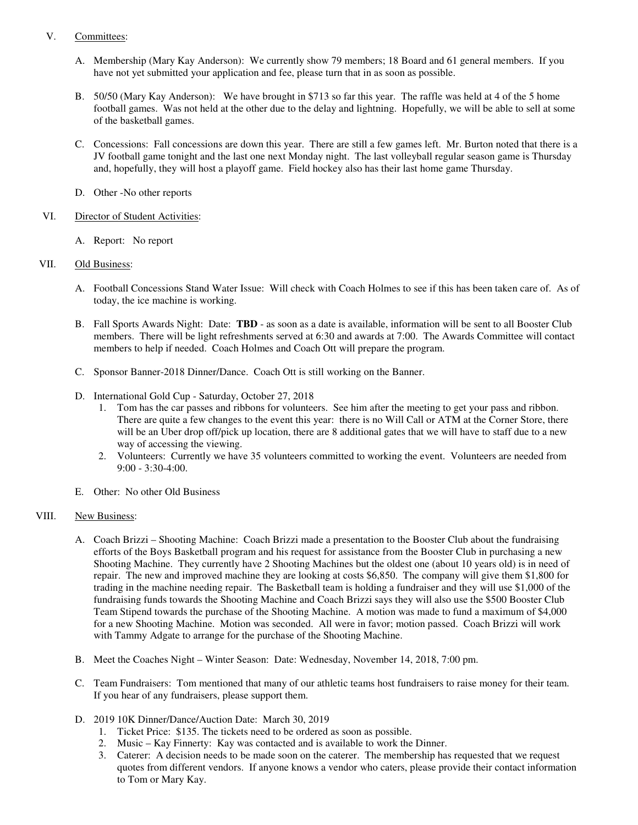#### V. Committees:

- A. Membership (Mary Kay Anderson): We currently show 79 members; 18 Board and 61 general members. If you have not yet submitted your application and fee, please turn that in as soon as possible.
- B. 50/50 (Mary Kay Anderson): We have brought in \$713 so far this year. The raffle was held at 4 of the 5 home football games. Was not held at the other due to the delay and lightning. Hopefully, we will be able to sell at some of the basketball games.
- C. Concessions: Fall concessions are down this year. There are still a few games left. Mr. Burton noted that there is a JV football game tonight and the last one next Monday night. The last volleyball regular season game is Thursday and, hopefully, they will host a playoff game. Field hockey also has their last home game Thursday.
- D. Other -No other reports

#### VI. Director of Student Activities:

A. Report: No report

## VII. Old Business:

- A. Football Concessions Stand Water Issue: Will check with Coach Holmes to see if this has been taken care of. As of today, the ice machine is working.
- B. Fall Sports Awards Night: Date: **TBD** as soon as a date is available, information will be sent to all Booster Club members. There will be light refreshments served at 6:30 and awards at 7:00. The Awards Committee will contact members to help if needed. Coach Holmes and Coach Ott will prepare the program.
- C. Sponsor Banner-2018 Dinner/Dance. Coach Ott is still working on the Banner.
- D. International Gold Cup Saturday, October 27, 2018
	- 1. Tom has the car passes and ribbons for volunteers. See him after the meeting to get your pass and ribbon. There are quite a few changes to the event this year: there is no Will Call or ATM at the Corner Store, there will be an Uber drop off/pick up location, there are 8 additional gates that we will have to staff due to a new way of accessing the viewing.
	- 2. Volunteers: Currently we have 35 volunteers committed to working the event. Volunteers are needed from 9:00 - 3:30-4:00.
- E. Other: No other Old Business

## VIII. New Business:

- A. Coach Brizzi Shooting Machine: Coach Brizzi made a presentation to the Booster Club about the fundraising efforts of the Boys Basketball program and his request for assistance from the Booster Club in purchasing a new Shooting Machine. They currently have 2 Shooting Machines but the oldest one (about 10 years old) is in need of repair. The new and improved machine they are looking at costs \$6,850. The company will give them \$1,800 for trading in the machine needing repair. The Basketball team is holding a fundraiser and they will use \$1,000 of the fundraising funds towards the Shooting Machine and Coach Brizzi says they will also use the \$500 Booster Club Team Stipend towards the purchase of the Shooting Machine. A motion was made to fund a maximum of \$4,000 for a new Shooting Machine. Motion was seconded. All were in favor; motion passed. Coach Brizzi will work with Tammy Adgate to arrange for the purchase of the Shooting Machine.
- B. Meet the Coaches Night Winter Season: Date: Wednesday, November 14, 2018, 7:00 pm.
- C. Team Fundraisers: Tom mentioned that many of our athletic teams host fundraisers to raise money for their team. If you hear of any fundraisers, please support them.
- D. 2019 10K Dinner/Dance/Auction Date: March 30, 2019
	- 1. Ticket Price: \$135. The tickets need to be ordered as soon as possible.
	- 2. Music Kay Finnerty: Kay was contacted and is available to work the Dinner.
	- 3. Caterer: A decision needs to be made soon on the caterer. The membership has requested that we request quotes from different vendors. If anyone knows a vendor who caters, please provide their contact information to Tom or Mary Kay.